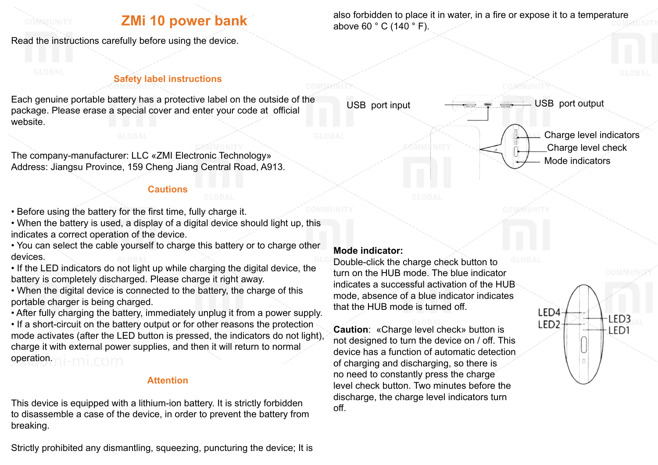#### COMMUNITY

# **ZMi 10 power bank**

Read the instructions carefully before using the device.

## **Safety label instructions**

Each genuine portable battery has a protective label on the outside of the package. Please erase a special cover and enter your code at official website.

The company-manufacturer: LLC «ZMI Electronic Technology» Address: Jiangsu Province, 159 Cheng Jiang Central Road, A913.

### **Cautions**

• Before using the battery for the first time, fully charge it.

• When the battery is used, a display of a digital device should light up, this indicates a correct operation of the device.

• You can select the cable yourself to charge this battery or to charge other devices.

• If the LED indicators do not light up while charging the digital device, the battery is completely discharged. Please charge it right away.

• When the digital device is connected to the battery, the charge of this portable charger is being charged.

• After fully charging the battery, immediately unplug it from a power supply.

• If a short-circuit on the battery output or for other reasons the protection mode activates (after the LED button is pressed, the indicators do not light), charge it with external power supplies, and then it will return to normal operation.

## **Attention**

This device is equipped with a lithium-ion battery. It is strictly forbidden to disassemble a case of the device, in order to prevent the battery from breaking.

Strictly prohibited any dismantling, squeezing, puncturing the device; It is

## **Mode indicator:**

Double-click the charge check button to turn on the HUB mode. The blue indicator indicates a successful activation of the HUB mode, absence of a blue indicator indicates that the HUB mode is turned off.

**Caution**: «Charge level check» button is not designed to turn the device on / off. This device has a function of automatic detection of charging and discharging, so there is no need to constantly press the charge level check button. Two minutes before the discharge, the charge level indicators turn off.

USB port input  $\leftarrow$  USB port output

Charge level indicators Charge level check Mode indicators

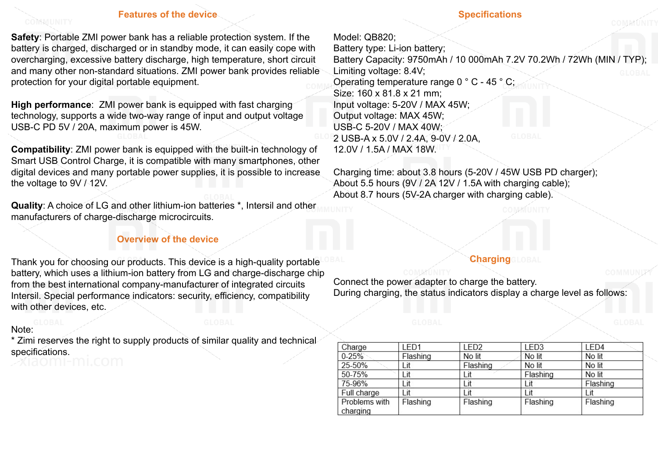#### **Features of the device**

**Safety:** Portable ZMI power bank has a reliable protection system. If the battery is charged, discharged or in standby mode, it can easily cope with overcharging, excessive battery discharge, high temperature, short circuit and many other non-standard situations. ZMI power bank provides reliable protection for your digital portable equipment.

**High performance**: ZMI power bank is equipped with fast charging technology, supports a wide two-way range of input and output voltage USB-C PD 5V / 20A, maximum power is 45W.

**Compatibility**: ZMI power bank is equipped with the built-in technology of Smart USB Control Charge, it is compatible with many smartphones, other digital devices and many portable power supplies, it is possible to increase the voltage to  $9V/12V$ .

**Quality**: A choice of LG and other lithium-ion batteries \*, Intersil and other manufacturers of charge-discharge microcircuits.

#### **Overview of the device**

Thank you for choosing our products. This device is a high-quality portable battery, which uses a lithium-ion battery from LG and charge-discharge chip from the best international company-manufacturer of integrated circuits Intersil. Special performance indicators: security, efficiency, compatibility with other devices, etc.

## Note:

\* Zimi reserves the right to supply products of similar quality and technical specifications.

#### **Specifications**

Model: QB820; Battery type: Li-ion battery; Battery Capacity: 9750mAh / 10 000mAh 7.2V 70.2Wh / 72Wh (MIN / TYP); Limiting voltage: 8.4V; Operating temperature range 0 ° C - 45 ° C; Size: 160 x 81.8 x 21 mm; Input voltage: 5-20V / MAX 45W; Output voltage: MAX 45W; USB-C 5-20V / MAX 40W; 2 USB-A x 5.0V / 2.4A, 9-0V / 2.0A, 12.0V / 1.5A / MAX 18W.

Charging time: about 3.8 hours (5-20V / 45W USB PD charger); About 5.5 hours (9V / 2A 12V / 1.5A with charging cable); About 8.7 hours (5V-2A charger with charging cable).

## **Charging**

Connect the power adapter to charge the battery. During charging, the status indicators display a charge level as follows:

| Charge        | LED <sub>1</sub> | LED <sub>2</sub> | LED <sub>3</sub> | LED4     |
|---------------|------------------|------------------|------------------|----------|
| $0 - 25%$     | Flashing         | No lit           | No lit           | No lit   |
| 25-50%        | Lit              | Flashing         | No lit           | No lit   |
| 50-75%        | Lit              | Lit              | Flashing         | No lit   |
| 75-96%        | Lit              | Lit              | Lit              | Flashing |
| Full charge   | Lit              | Lit              | Lit              | Lit      |
| Problems with | Flashing         | Flashing         | Flashing         | Flashing |
| charging      |                  |                  |                  |          |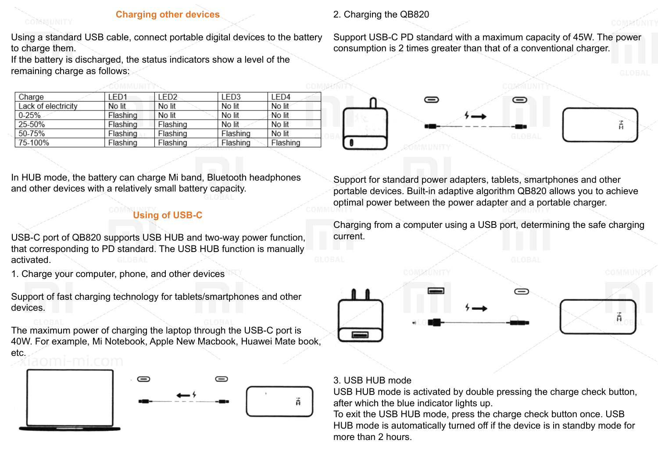#### **Charging other devices**

Using a standard USB cable, connect portable digital devices to the battery to charge them.

If the battery is discharged, the status indicators show a level of the remaining charge as follows:

| Charge              | LED <sub>1</sub> | LED <sub>2</sub> | LED <sub>3</sub> | LED4     |
|---------------------|------------------|------------------|------------------|----------|
| Lack of electricity | No lit           | No lit           | No lit           | No lit   |
| $0 - 25%$           | Flashing         | No lit           | No lit           | No lit   |
| 25-50%              | Flashing         | Flashing         | No lit           | No lit   |
| 50-75%              | Flashing         | Flashing         | Flashing         | No lit   |
| 75-100%             | Flashing         | Flashing         | Flashing         | Flashing |

In HUB mode, the battery can charge Mi band, Bluetooth headphones and other devices with a relatively small battery capacity.

## **Using of USB-C**

USB-C port of QB820 supports USB HUB and two-way power function, that corresponding to PD standard. The USB HUB function is manually activated.

1. Charge your computer, phone, and other devices

Support of fast charging technology for tablets/smartphones and other devices.

The maximum power of charging the laptop through the USB-C port is 40W. For example, Mi Notebook, Apple New Macbook, Huawei Mate book, etc.



## 2. Charging the QB820

Support USB-C PD standard with a maximum capacity of 45W. The power consumption is 2 times greater than that of a conventional charger.



Support for standard power adapters, tablets, smartphones and other portable devices. Built-in adaptive algorithm QB820 allows you to achieve optimal power between the power adapter and a portable charger.

Charging from a computer using a USB port, determining the safe charging current.



#### 3. USB HUB mode

USB HUB mode is activated by double pressing the charge check button, after which the blue indicator lights up.

To exit the USB HUB mode, press the charge check button once. USB HUB mode is automatically turned off if the device is in standby mode for more than 2 hours.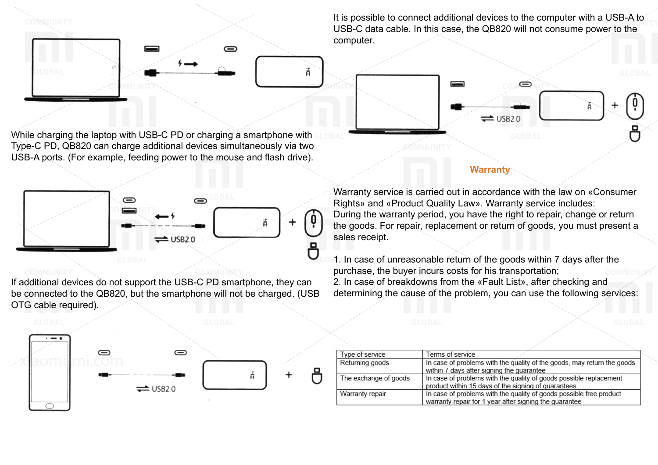

It is possible to connect additional devices to the computer with a USB-A to USB-C data cable. In this case, the QB820 will not consume power to the computer.

 $\Rightarrow$ 

While charging the laptop with USB-C PD or charging a smartphone with Type-C PD, QB820 can charge additional devices simultaneously via two USB-A ports. (For example, feeding power to the mouse and flash drive).



If additional devices do not support the USB-C PD smartphone, they can be connected to the QB820, but the smartphone will not be charged. (USB OTG cable required).



#### **Warranty**

 $\rightleftharpoons$  USB2.0

Warranty service is carried out in accordance with the law on «Consumer Rights» and «Product Quality Law». Warranty service includes: During the warranty period, you have the right to repair, change or return the goods. For repair, replacement or return of goods, you must present a sales receipt.

1. In case of unreasonable return of the goods within 7 days after the purchase, the buyer incurs costs for his transportation; 2. In case of breakdowns from the «Fault List», after checking and determining the cause of the problem, you can use the following services:

| Type of service       | Terms of service                                                                                                              |
|-----------------------|-------------------------------------------------------------------------------------------------------------------------------|
| Returning goods       | In case of problems with the quality of the goods, may return the goods<br>within 7 days after signing the guarantee          |
| The exchange of goods | In case of problems with the quality of goods possible replacement<br>product within 15 days of the signing of guarantees     |
| Warranty repair       | In case of problems with the quality of goods possible free product<br>warranty repair for 1 year after signing the guarantee |